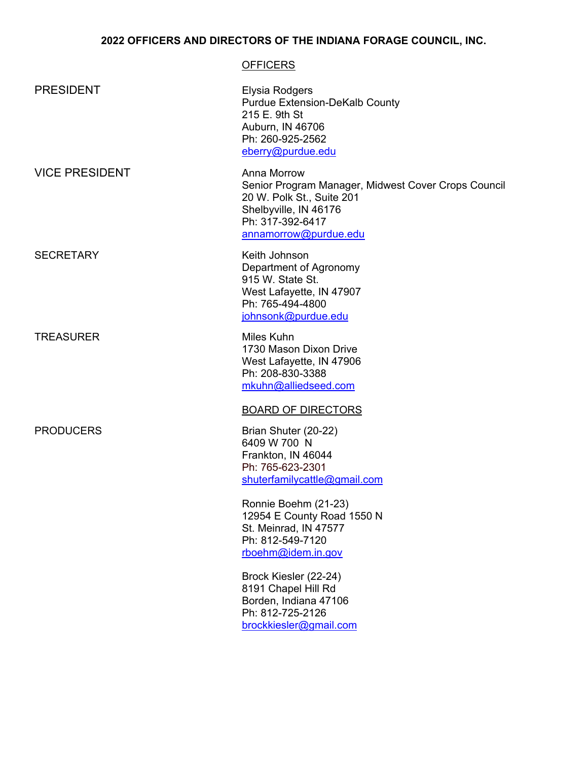## **2022 OFFICERS AND DIRECTORS OF THE INDIANA FORAGE COUNCIL, INC.**

## **OFFICERS** PRESIDENT Elysia Rodgers Purdue Extension-DeKalb County 215 E. 9th St Auburn, IN 46706 Ph: 260-925-2562 eberry@purdue.edu VICE PRESIDENT Anna Morrow Senior Program Manager, Midwest Cover Crops Council 20 W. Polk St., Suite 201 Shelbyville, IN 46176 Ph: 317-392-6417 annamorrow@purdue.edu SECRETARY **Keith Johnson** Department of Agronomy 915 W. State St. West Lafayette, IN 47907 Ph: 765-494-4800 johnsonk@purdue.edu TREASURER Miles Kuhn 1730 Mason Dixon Drive West Lafayette, IN 47906 Ph: 208-830-3388 mkuhn@alliedseed.com BOARD OF DIRECTORS PRODUCERS Brian Shuter (20-22) 6409 W 700 N Frankton, IN 46044 Ph: 765-623-2301 shuterfamilycattle@gmail.com Ronnie Boehm (21-23) 12954 E County Road 1550 N St. Meinrad, IN 47577 Ph: 812-549-7120 [rboehm@idem.in.gov](mailto:rboehm@idem.in.gov)

Brock Kiesler (22-24) 8191 Chapel Hill Rd Borden, Indiana 47106 Ph: 812-725-2126 [brockkiesler@gmail.com](mailto:brockkiesler@gmail.com)